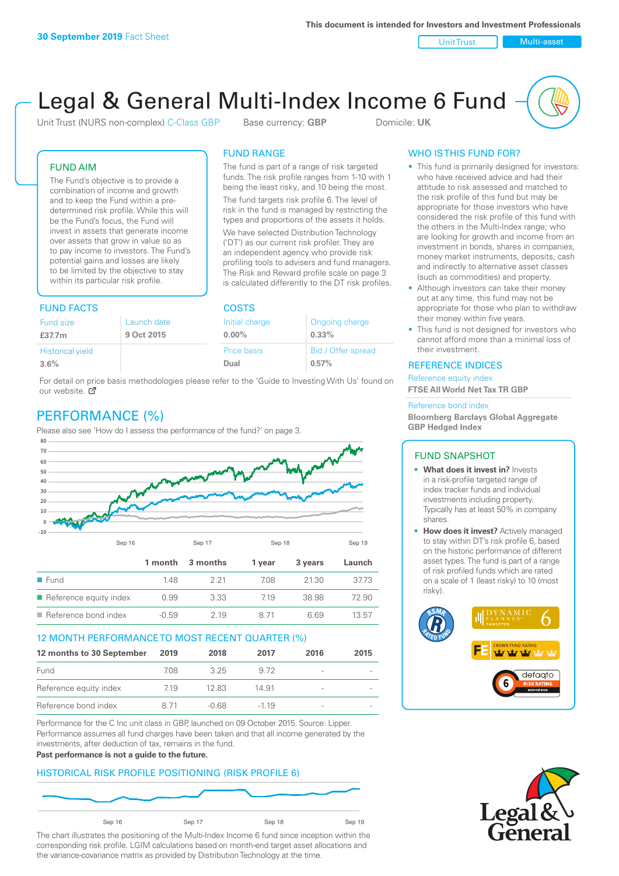Unit Trust Nulti-asset

# Legal & General Multi-Index Income 6 Fund

Unit Trust (NURS non-complex) C-Class GBP Base currency: **GBP** Domicile: UK

The fund is part of a range of risk targeted funds. The risk profile ranges from 1-10 with 1 being the least risky, and 10 being the most. The fund targets risk profile 6. The level of risk in the fund is managed by restricting the types and proportions of the assets it holds. We have selected Distribution Technology ('DT') as our current risk profiler. They are an independent agency who provide risk profiling tools to advisers and fund managers. The Risk and Reward profile scale on page 3 is calculated differently to the DT risk profiles.

FUND RANGE

## FUND AIM

The Fund's objective is to provide a combination of income and growth and to keep the Fund within a predetermined risk profile. While this will be the Fund's focus, the Fund will invest in assets that generate income over assets that grow in value so as to pay income to investors. The Fund's potential gains and losses are likely to be limited by the objective to stay within its particular risk profile.

## FUND FACTS COSTS

| .                       |             |                |                    |  |
|-------------------------|-------------|----------------|--------------------|--|
| Fund size               | Launch date | Initial charge | Ongoing charge     |  |
| £37.7m                  | 9 Oct 2015  | $0.00\%$       | $0.33\%$           |  |
| <b>Historical yield</b> |             | Price basis    | Bid / Offer spread |  |
| 3.6%                    |             | Dual           | 0.57%              |  |

For detail on price basis methodologies please refer to the 'Guide to Investing With Us' found on our website. Ø

# PERFORMANCE (%)

Please also see 'How do I assess the performance of the fund?' on page 3.



## 12 MONTH PERFORMANCE TO MOST RECENT QUARTER (%)

| 12 months to 30 September | 2019 | 2018  | 2017   | 2016                     | 2015 |
|---------------------------|------|-------|--------|--------------------------|------|
| Fund                      | 708. | 325   | 9.72   | $\overline{\phantom{a}}$ |      |
| Reference equity index    | 7.19 | 12.83 | 14.91  | -                        |      |
| Reference bond index      | 8 71 | -0.68 | $-119$ | $\qquad \qquad$          |      |

Performance for the C Inc unit class in GBP, launched on 09 October 2015. Source: Lipper. Performance assumes all fund charges have been taken and that all income generated by the investments, after deduction of tax, remains in the fund.

#### **Past performance is not a guide to the future.**

## HISTORICAL RISK PROFILE POSITIONING (RISK PROFILE 6)



The chart illustrates the positioning of the Multi-Index Income 6 fund since inception within the corresponding risk profile. LGIM calculations based on month-end target asset allocations and the variance-covariance matrix as provided by Distribution Technology at the time.

## WHO IS THIS FUND FOR?

- This fund is primarily designed for investors: who have received advice and had their attitude to risk assessed and matched to the risk profile of this fund but may be appropriate for those investors who have considered the risk profile of this fund with the others in the Multi-Index range; who are looking for growth and income from an investment in bonds, shares in companies, money market instruments, deposits, cash and indirectly to alternative asset classes (such as commodities) and property.
- Although investors can take their money out at any time, this fund may not be appropriate for those who plan to withdraw their money within five years.
- This fund is not designed for investors who cannot afford more than a minimal loss of their investment.

## REFERENCE INDICES

Reference equity index **FTSE All World Net Tax TR GBP**

#### Reference bond index

**Bloomberg Barclays Global Aggregate GBP Hedged Index**

## FUND SNAPSHOT

- **• What does it invest in?** Invests in a risk-profile targeted range of index tracker funds and individual investments including property. Typically has at least 50% in company shares.
- **• How does it invest?** Actively managed to stay within DT's risk profile 6, based on the historic performance of different asset types. The fund is part of a range of risk profiled funds which are rated on a scale of 1 (least risky) to 10 (most risky).



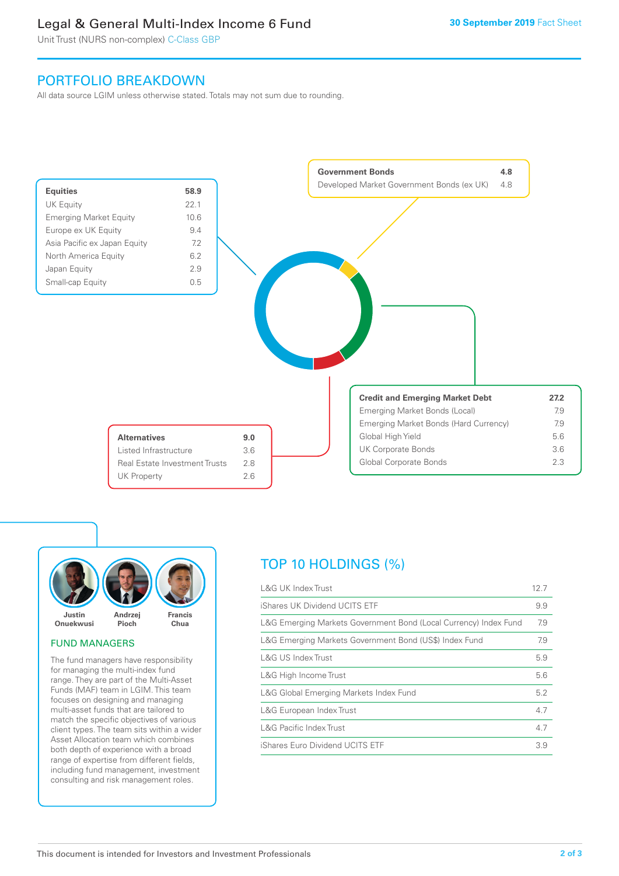# Legal & General Multi-Index Income 6 Fund

Unit Trust (NURS non-complex) C-Class GBP

# PORTFOLIO BREAKDOWN

All data source LGIM unless otherwise stated. Totals may not sum due to rounding.





## FUND MANAGERS

The fund managers have responsibility for managing the multi-index fund range. They are part of the Multi-Asset Funds (MAF) team in LGIM. This team focuses on designing and managing multi-asset funds that are tailored to match the specific objectives of various client types. The team sits within a wider Asset Allocation team which combines both depth of experience with a broad range of expertise from different fields, including fund management, investment consulting and risk management roles.

# TOP 10 HOLDINGS (%)

| <b>L&amp;G UK Index Trust</b>                                    | 12.7 |
|------------------------------------------------------------------|------|
| iShares UK Dividend UCITS ETF                                    | 9.9  |
| L&G Emerging Markets Government Bond (Local Currency) Index Fund | 7.9  |
| L&G Emerging Markets Government Bond (US\$) Index Fund           | 7.9  |
| <b>L&amp;G US Index Trust</b>                                    | 5.9  |
| L&G High Income Trust                                            | 5.6  |
| L&G Global Emerging Markets Index Fund                           | 5.2  |
| L&G European Index Trust                                         | 4.7  |
| <b>L&amp;G Pacific Index Trust</b>                               | 4.7  |
| iShares Euro Dividend UCITS ETF                                  | 3.9  |